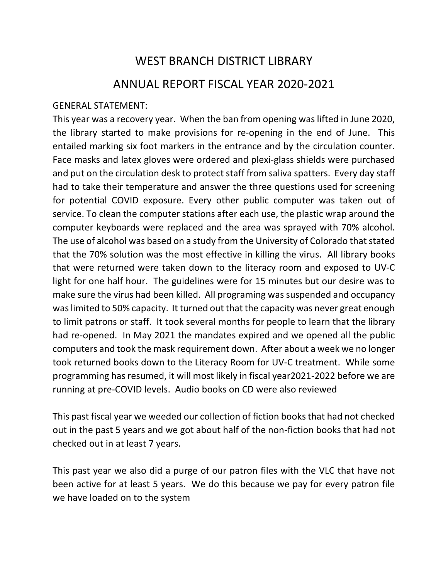## WEST BRANCH DISTRICT LIBRARY ANNUAL REPORT FISCAL YEAR 2020-2021

## GENERAL STATEMENT:

This year was a recovery year. When the ban from opening was lifted in June 2020, the library started to make provisions for re-opening in the end of June. This entailed marking six foot markers in the entrance and by the circulation counter. Face masks and latex gloves were ordered and plexi-glass shields were purchased and put on the circulation desk to protect staff from saliva spatters. Every day staff had to take their temperature and answer the three questions used for screening for potential COVID exposure. Every other public computer was taken out of service. To clean the computer stations after each use, the plastic wrap around the computer keyboards were replaced and the area was sprayed with 70% alcohol. The use of alcohol was based on a study from the University of Colorado that stated that the 70% solution was the most effective in killing the virus. All library books that were returned were taken down to the literacy room and exposed to UV-C light for one half hour. The guidelines were for 15 minutes but our desire was to make sure the virus had been killed. All programing was suspended and occupancy was limited to 50% capacity. It turned out that the capacity was never great enough to limit patrons or staff. It took several months for people to learn that the library had re-opened. In May 2021 the mandates expired and we opened all the public computers and took the mask requirement down. After about a week we no longer took returned books down to the Literacy Room for UV-C treatment. While some programming has resumed, it will most likely in fiscal year2021-2022 before we are running at pre-COVID levels. Audio books on CD were also reviewed

This past fiscal year we weeded our collection of fiction books that had not checked out in the past 5 years and we got about half of the non-fiction books that had not checked out in at least 7 years.

This past year we also did a purge of our patron files with the VLC that have not been active for at least 5 years. We do this because we pay for every patron file we have loaded on to the system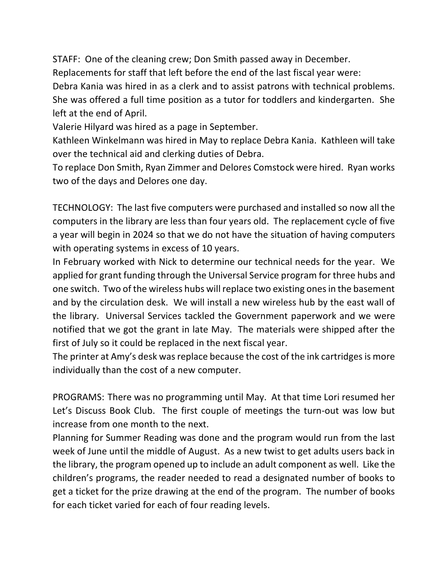STAFF: One of the cleaning crew; Don Smith passed away in December. Replacements for staff that left before the end of the last fiscal year were: Debra Kania was hired in as a clerk and to assist patrons with technical problems. She was offered a full time position as a tutor for toddlers and kindergarten. She left at the end of April.

Valerie Hilyard was hired as a page in September.

Kathleen Winkelmann was hired in May to replace Debra Kania. Kathleen will take over the technical aid and clerking duties of Debra.

To replace Don Smith, Ryan Zimmer and Delores Comstock were hired. Ryan works two of the days and Delores one day.

TECHNOLOGY: The last five computers were purchased and installed so now all the computers in the library are less than four years old. The replacement cycle of five a year will begin in 2024 so that we do not have the situation of having computers with operating systems in excess of 10 years.

In February worked with Nick to determine our technical needs for the year. We applied for grant funding through the Universal Service program for three hubs and one switch. Two of the wireless hubs will replace two existing ones in the basement and by the circulation desk. We will install a new wireless hub by the east wall of the library. Universal Services tackled the Government paperwork and we were notified that we got the grant in late May. The materials were shipped after the first of July so it could be replaced in the next fiscal year.

The printer at Amy's desk was replace because the cost of the ink cartridges is more individually than the cost of a new computer.

PROGRAMS: There was no programming until May. At that time Lori resumed her Let's Discuss Book Club. The first couple of meetings the turn-out was low but increase from one month to the next.

Planning for Summer Reading was done and the program would run from the last week of June until the middle of August. As a new twist to get adults users back in the library, the program opened up to include an adult component as well. Like the children's programs, the reader needed to read a designated number of books to get a ticket for the prize drawing at the end of the program. The number of books for each ticket varied for each of four reading levels.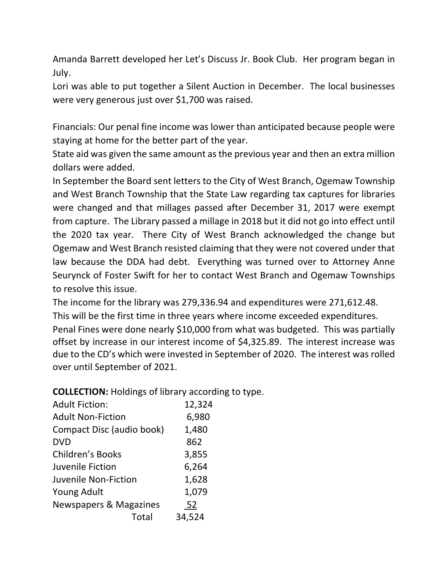Amanda Barrett developed her Let's Discuss Jr. Book Club. Her program began in July.

Lori was able to put together a Silent Auction in December. The local businesses were very generous just over \$1,700 was raised.

Financials: Our penal fine income was lower than anticipated because people were staying at home for the better part of the year.

State aid was given the same amount as the previous year and then an extra million dollars were added.

In September the Board sent letters to the City of West Branch, Ogemaw Township and West Branch Township that the State Law regarding tax captures for libraries were changed and that millages passed after December 31, 2017 were exempt from capture. The Library passed a millage in 2018 but it did not go into effect until the 2020 tax year. There City of West Branch acknowledged the change but Ogemaw and West Branch resisted claiming that they were not covered under that law because the DDA had debt. Everything was turned over to Attorney Anne Seurynck of Foster Swift for her to contact West Branch and Ogemaw Townships to resolve this issue.

The income for the library was 279,336.94 and expenditures were 271,612.48.

This will be the first time in three years where income exceeded expenditures.

Penal Fines were done nearly \$10,000 from what was budgeted. This was partially offset by increase in our interest income of \$4,325.89. The interest increase was due to the CD's which were invested in September of 2020. The interest was rolled over until September of 2021.

**COLLECTION:** Holdings of library according to type.

| <b>Adult Fiction:</b>     | 12,324 |
|---------------------------|--------|
| <b>Adult Non-Fiction</b>  | 6,980  |
| Compact Disc (audio book) | 1,480  |
| <b>DVD</b>                | 862    |
| <b>Children's Books</b>   | 3,855  |
| Juvenile Fiction          | 6,264  |
| Juvenile Non-Fiction      | 1,628  |
| <b>Young Adult</b>        | 1,079  |
| Newspapers & Magazines    | 52     |
| Total                     | 34,524 |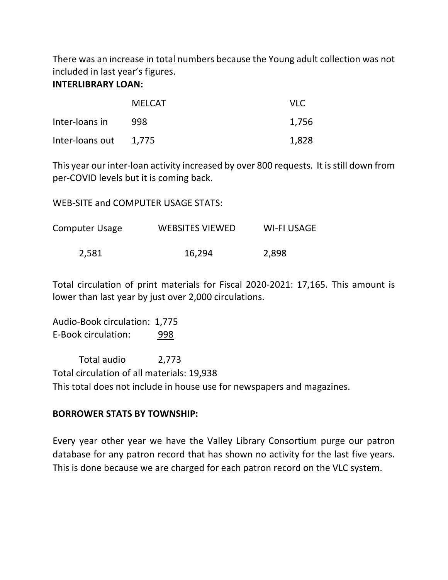There was an increase in total numbers because the Young adult collection was not included in last year's figures.

## **INTERLIBRARY LOAN:**

|                       | <b>MELCAT</b> | VLC.  |
|-----------------------|---------------|-------|
| Inter-loans in        | 998           | 1,756 |
| Inter-loans out 1,775 |               | 1,828 |

This year our inter-loan activity increased by over 800 requests. It is still down from per-COVID levels but it is coming back.

WEB-SITE and COMPUTER USAGE STATS:

Computer Usage WEBSITES VIEWED WI-FI USAGE 2,581 16,294 2,898

Total circulation of print materials for Fiscal 2020-2021: 17,165. This amount is lower than last year by just over 2,000 circulations.

Audio-Book circulation: 1,775 E-Book circulation: 998

Total audio 2,773 Total circulation of all materials: 19,938 This total does not include in house use for newspapers and magazines.

## **BORROWER STATS BY TOWNSHIP:**

Every year other year we have the Valley Library Consortium purge our patron database for any patron record that has shown no activity for the last five years. This is done because we are charged for each patron record on the VLC system.